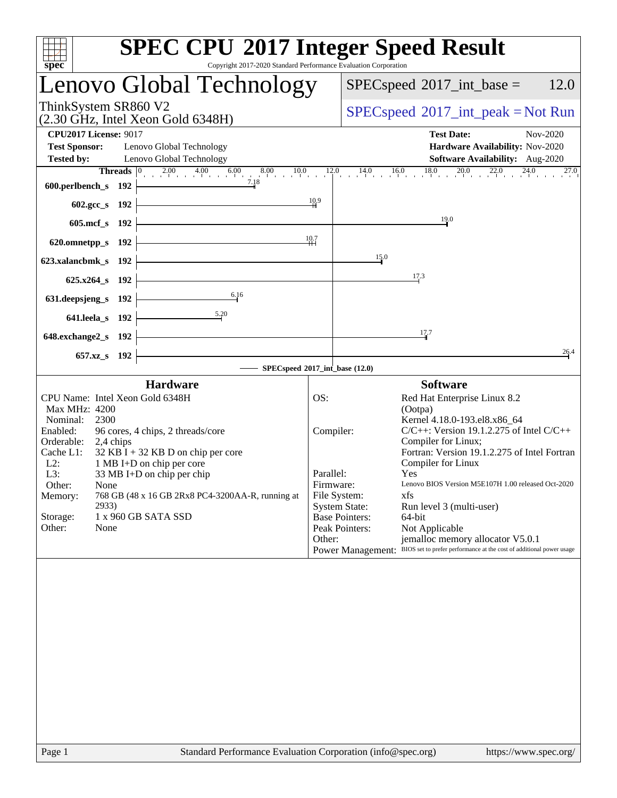| <b>SPEC CPU®2017 Integer Speed Result</b><br>spec <sup>®</sup><br>Copyright 2017-2020 Standard Performance Evaluation Corporation                                                                                                                                                                                                                                                                                                |                                                                                                                                                                                                                                                                                                                                                                                                                                                                                                                                                                                                                                   |
|----------------------------------------------------------------------------------------------------------------------------------------------------------------------------------------------------------------------------------------------------------------------------------------------------------------------------------------------------------------------------------------------------------------------------------|-----------------------------------------------------------------------------------------------------------------------------------------------------------------------------------------------------------------------------------------------------------------------------------------------------------------------------------------------------------------------------------------------------------------------------------------------------------------------------------------------------------------------------------------------------------------------------------------------------------------------------------|
| <b>Lenovo Global Technology</b>                                                                                                                                                                                                                                                                                                                                                                                                  | 12.0<br>$SPEC speed^{\circ}2017\_int\_base =$                                                                                                                                                                                                                                                                                                                                                                                                                                                                                                                                                                                     |
| ThinkSystem SR860 V2<br>(2.30 GHz, Intel Xeon Gold 6348H)                                                                                                                                                                                                                                                                                                                                                                        | $SPEC speed^{\circ}2017\_int\_peak = Not Run$                                                                                                                                                                                                                                                                                                                                                                                                                                                                                                                                                                                     |
| <b>CPU2017 License: 9017</b><br><b>Test Sponsor:</b><br>Lenovo Global Technology<br><b>Tested by:</b><br>Lenovo Global Technology                                                                                                                                                                                                                                                                                                | <b>Test Date:</b><br>Nov-2020<br>Hardware Availability: Nov-2020<br>Software Availability: Aug-2020                                                                                                                                                                                                                                                                                                                                                                                                                                                                                                                               |
| <b>14.0</b> 10.0 12.0 14.0 16.0 16.0 14.0 16.0 14.0 16.0 14.0 16.0 14.0 16.0 14.0 20.0 22.0 24.0 27.0 27.0 14.0 16.0 18.0 20.0 22.0 23.0 24.0 27.0                                                                                                                                                                                                                                                                               | 27.0                                                                                                                                                                                                                                                                                                                                                                                                                                                                                                                                                                                                                              |
| $602.\text{sec}\_\text{s}$ 192<br>$\frac{10.9}{11}$<br>605.mcf_s $192$ $\leftarrow$                                                                                                                                                                                                                                                                                                                                              | 19.0                                                                                                                                                                                                                                                                                                                                                                                                                                                                                                                                                                                                                              |
| 10.7<br>$620.0$ mnetpp_s $192$ $\overline{\phantom{1}}$<br>623.xalancbmk_s 192 $\vdash$                                                                                                                                                                                                                                                                                                                                          | 15.0                                                                                                                                                                                                                                                                                                                                                                                                                                                                                                                                                                                                                              |
| $625.x264_s$ 192<br>631.deepsjeng_s 192 $\overbrace{\qquad \qquad }^{6.16}$                                                                                                                                                                                                                                                                                                                                                      | 17.3                                                                                                                                                                                                                                                                                                                                                                                                                                                                                                                                                                                                                              |
| 641.leela_s 192 $\overline{\qquad \qquad }$ 5.20                                                                                                                                                                                                                                                                                                                                                                                 | 17.7                                                                                                                                                                                                                                                                                                                                                                                                                                                                                                                                                                                                                              |
| $648$ .exchange $2$ _s 192 $\downarrow$<br><u> 1989 - Johann Barn, mars ann an t-Amhain Aonaich an t-Aonaich an t-Aonaich ann an t-Aonaich ann an t-Aonaich</u><br>$657.xz$ <sub>8</sub> 192<br>SPECspeed®2017_int_base (12.0)                                                                                                                                                                                                   | 26.4                                                                                                                                                                                                                                                                                                                                                                                                                                                                                                                                                                                                                              |
| <b>Hardware</b>                                                                                                                                                                                                                                                                                                                                                                                                                  | <b>Software</b>                                                                                                                                                                                                                                                                                                                                                                                                                                                                                                                                                                                                                   |
| CPU Name: Intel Xeon Gold 6348H<br>Max MHz: 4200<br>2300<br>Nominal:<br>Enabled:<br>96 cores, 4 chips, 2 threads/core<br>Orderable:<br>2,4 chips<br>$32$ KB I + 32 KB D on chip per core<br>Cache L1:<br>1 MB I+D on chip per core<br>$L2$ :<br>L3:<br>33 MB I+D on chip per chip<br>Other:<br>None<br>768 GB (48 x 16 GB 2Rx8 PC4-3200AA-R, running at<br>Memory:<br>2933)<br>1 x 960 GB SATA SSD<br>Storage:<br>Other:<br>None | OS:<br>Red Hat Enterprise Linux 8.2<br>(Ootpa)<br>Kernel 4.18.0-193.el8.x86_64<br>$C/C++$ : Version 19.1.2.275 of Intel $C/C++$<br>Compiler:<br>Compiler for Linux;<br>Fortran: Version 19.1.2.275 of Intel Fortran<br>Compiler for Linux<br>Parallel:<br><b>Yes</b><br>Lenovo BIOS Version M5E107H 1.00 released Oct-2020<br>Firmware:<br>File System:<br>xfs<br><b>System State:</b><br>Run level 3 (multi-user)<br><b>Base Pointers:</b><br>64-bit<br>Peak Pointers:<br>Not Applicable<br>Other:<br>jemalloc memory allocator V5.0.1<br>Power Management: BIOS set to prefer performance at the cost of additional power usage |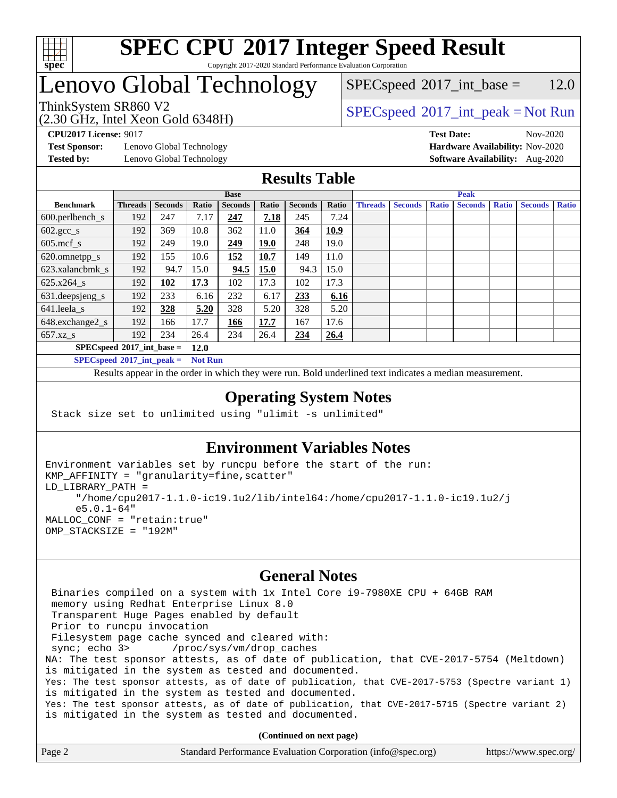

Copyright 2017-2020 Standard Performance Evaluation Corporation

## Lenovo Global Technology

(2.30 GHz, Intel Xeon Gold 6348H)

 $SPEC speed^{\circ}2017\_int\_base = 12.0$ 

### ThinkSystem SR860 V2<br>  $\begin{array}{c}\n\text{SPEC speed} \text{?}2017\_int\_peak = Not Run \\
\text{SPEC speed} \text{?}2017\_int\_peak = Not Run\n\end{array}$

**[CPU2017 License:](http://www.spec.org/auto/cpu2017/Docs/result-fields.html#CPU2017License)** 9017 **[Test Date:](http://www.spec.org/auto/cpu2017/Docs/result-fields.html#TestDate)** Nov-2020

**[Test Sponsor:](http://www.spec.org/auto/cpu2017/Docs/result-fields.html#TestSponsor)** Lenovo Global Technology **[Hardware Availability:](http://www.spec.org/auto/cpu2017/Docs/result-fields.html#HardwareAvailability)** Nov-2020 **[Tested by:](http://www.spec.org/auto/cpu2017/Docs/result-fields.html#Testedby)** Lenovo Global Technology **[Software Availability:](http://www.spec.org/auto/cpu2017/Docs/result-fields.html#SoftwareAvailability)** Aug-2020

#### **[Results Table](http://www.spec.org/auto/cpu2017/Docs/result-fields.html#ResultsTable)**

|                                     | <b>Base</b>    |                |       |                | <b>Peak</b> |                |       |                |                |              |                |              |                |              |
|-------------------------------------|----------------|----------------|-------|----------------|-------------|----------------|-------|----------------|----------------|--------------|----------------|--------------|----------------|--------------|
| <b>Benchmark</b>                    | <b>Threads</b> | <b>Seconds</b> | Ratio | <b>Seconds</b> | Ratio       | <b>Seconds</b> | Ratio | <b>Threads</b> | <b>Seconds</b> | <b>Ratio</b> | <b>Seconds</b> | <b>Ratio</b> | <b>Seconds</b> | <b>Ratio</b> |
| $600.$ perlbench_s                  | 192            | 247            | 7.17  | 247            | 7.18        | 245            | 7.24  |                |                |              |                |              |                |              |
| $602.\text{gcc}\_\text{s}$          | 192            | 369            | 10.8  | 362            | 11.0        | 364            | 10.9  |                |                |              |                |              |                |              |
| $605$ .mcf s                        | 192            | 249            | 19.0  | 249            | <b>19.0</b> | 248            | 19.0  |                |                |              |                |              |                |              |
| 620.omnetpp_s                       | 192            | 155            | 10.6  | 152            | 10.7        | 149            | 11.0  |                |                |              |                |              |                |              |
| 623.xalancbmk s                     | 192            | 94.7           | 15.0  | 94.5           | 15.0        | 94.3           | 15.0  |                |                |              |                |              |                |              |
| 625.x264 s                          | 192            | <u>102</u>     | 17.3  | 102            | 17.3        | 102            | 17.3  |                |                |              |                |              |                |              |
| 631.deepsjeng_s                     | 192            | 233            | 6.16  | 232            | 6.17        | 233            | 6.16  |                |                |              |                |              |                |              |
| 641.leela s                         | 192            | 328            | 5.20  | 328            | 5.20        | 328            | 5.20  |                |                |              |                |              |                |              |
| 648.exchange2_s                     | 192            | 166            | 17.7  | 166            | 17.7        | 167            | 17.6  |                |                |              |                |              |                |              |
| $657.xz$ s                          | 192            | 234            | 26.4  | 234            | 26.4        | 234            | 26.4  |                |                |              |                |              |                |              |
| $SPECspeed*2017$ int base =<br>12.0 |                |                |       |                |             |                |       |                |                |              |                |              |                |              |

**[SPECspeed](http://www.spec.org/auto/cpu2017/Docs/result-fields.html#SPECspeed2017intpeak)[2017\\_int\\_peak =](http://www.spec.org/auto/cpu2017/Docs/result-fields.html#SPECspeed2017intpeak) Not Run**

Results appear in the [order in which they were run.](http://www.spec.org/auto/cpu2017/Docs/result-fields.html#RunOrder) Bold underlined text [indicates a median measurement.](http://www.spec.org/auto/cpu2017/Docs/result-fields.html#Median)

#### **[Operating System Notes](http://www.spec.org/auto/cpu2017/Docs/result-fields.html#OperatingSystemNotes)**

Stack size set to unlimited using "ulimit -s unlimited"

#### **[Environment Variables Notes](http://www.spec.org/auto/cpu2017/Docs/result-fields.html#EnvironmentVariablesNotes)**

```
Environment variables set by runcpu before the start of the run:
KMP_AFFINITY = "granularity=fine,scatter"
LD_LIBRARY_PATH =
      "/home/cpu2017-1.1.0-ic19.1u2/lib/intel64:/home/cpu2017-1.1.0-ic19.1u2/j
      e5.0.1-64"
MALLOC_CONF = "retain:true"
OMP_STACKSIZE = "192M"
```
#### **[General Notes](http://www.spec.org/auto/cpu2017/Docs/result-fields.html#GeneralNotes)**

 Binaries compiled on a system with 1x Intel Core i9-7980XE CPU + 64GB RAM memory using Redhat Enterprise Linux 8.0 Transparent Huge Pages enabled by default Prior to runcpu invocation Filesystem page cache synced and cleared with: sync; echo 3> /proc/sys/vm/drop\_caches NA: The test sponsor attests, as of date of publication, that CVE-2017-5754 (Meltdown) is mitigated in the system as tested and documented. Yes: The test sponsor attests, as of date of publication, that CVE-2017-5753 (Spectre variant 1) is mitigated in the system as tested and documented. Yes: The test sponsor attests, as of date of publication, that CVE-2017-5715 (Spectre variant 2) is mitigated in the system as tested and documented.

| Page 2 | Standard Performance Evaluation Corporation (info@spec.org) | https://www.spec.org/ |
|--------|-------------------------------------------------------------|-----------------------|
|--------|-------------------------------------------------------------|-----------------------|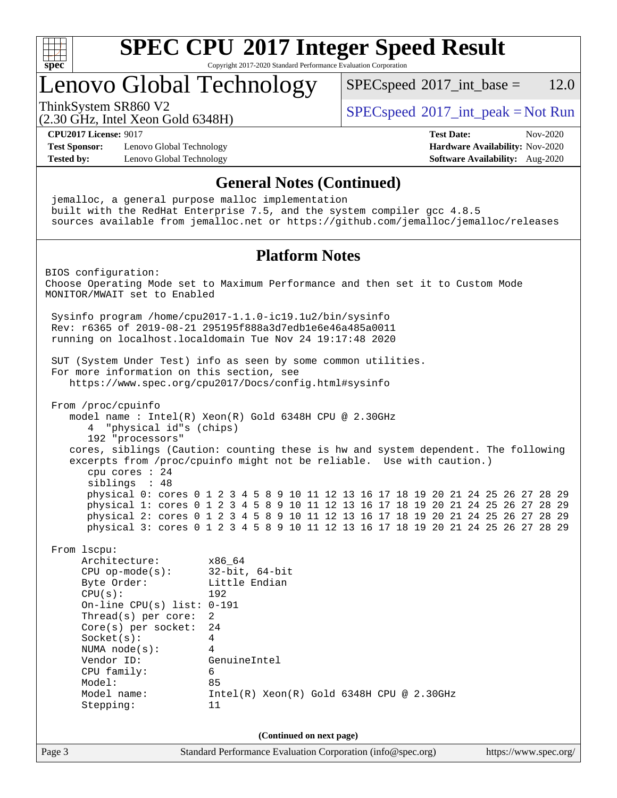

Copyright 2017-2020 Standard Performance Evaluation Corporation

### Lenovo Global Technology

 $SPECspeed^{\circ}2017\_int\_base = 12.0$  $SPECspeed^{\circ}2017\_int\_base = 12.0$ 

(2.30 GHz, Intel Xeon Gold 6348H)

ThinkSystem SR860 V2<br>  $\begin{array}{c}\n\text{SPEC speed} \text{?}2017\_int\_peak = Not Run \\
\text{SPEC speed} \text{?}2017\_int\_peak = Not Run\n\end{array}$ 

**[CPU2017 License:](http://www.spec.org/auto/cpu2017/Docs/result-fields.html#CPU2017License)** 9017 **[Test Date:](http://www.spec.org/auto/cpu2017/Docs/result-fields.html#TestDate)** Nov-2020

**[Test Sponsor:](http://www.spec.org/auto/cpu2017/Docs/result-fields.html#TestSponsor)** Lenovo Global Technology **[Hardware Availability:](http://www.spec.org/auto/cpu2017/Docs/result-fields.html#HardwareAvailability)** Nov-2020 **[Tested by:](http://www.spec.org/auto/cpu2017/Docs/result-fields.html#Testedby)** Lenovo Global Technology **[Software Availability:](http://www.spec.org/auto/cpu2017/Docs/result-fields.html#SoftwareAvailability)** Aug-2020

#### **[General Notes \(Continued\)](http://www.spec.org/auto/cpu2017/Docs/result-fields.html#GeneralNotes)**

 jemalloc, a general purpose malloc implementation built with the RedHat Enterprise 7.5, and the system compiler gcc 4.8.5 sources available from jemalloc.net or <https://github.com/jemalloc/jemalloc/releases> **[Platform Notes](http://www.spec.org/auto/cpu2017/Docs/result-fields.html#PlatformNotes)** BIOS configuration: Choose Operating Mode set to Maximum Performance and then set it to Custom Mode MONITOR/MWAIT set to Enabled Sysinfo program /home/cpu2017-1.1.0-ic19.1u2/bin/sysinfo Rev: r6365 of 2019-08-21 295195f888a3d7edb1e6e46a485a0011 running on localhost.localdomain Tue Nov 24 19:17:48 2020 SUT (System Under Test) info as seen by some common utilities. For more information on this section, see <https://www.spec.org/cpu2017/Docs/config.html#sysinfo> From /proc/cpuinfo model name : Intel(R) Xeon(R) Gold 6348H CPU @ 2.30GHz 4 "physical id"s (chips) 192 "processors" cores, siblings (Caution: counting these is hw and system dependent. The following excerpts from /proc/cpuinfo might not be reliable. Use with caution.) cpu cores : 24 siblings : 48 physical 0: cores 0 1 2 3 4 5 8 9 10 11 12 13 16 17 18 19 20 21 24 25 26 27 28 29 physical 1: cores 0 1 2 3 4 5 8 9 10 11 12 13 16 17 18 19 20 21 24 25 26 27 28 29 physical 2: cores 0 1 2 3 4 5 8 9 10 11 12 13 16 17 18 19 20 21 24 25 26 27 28 29 physical 3: cores 0 1 2 3 4 5 8 9 10 11 12 13 16 17 18 19 20 21 24 25 26 27 28 29 From lscpu: Architecture: x86\_64 CPU op-mode(s): 32-bit, 64-bit Byte Order: Little Endian CPU(s): 192 On-line CPU(s) list: 0-191 Thread(s) per core: 2 Core(s) per socket: 24 Socket(s): 4 NUMA node(s): 4 Vendor ID: GenuineIntel CPU family: 6 Model: 85 Model name: Intel(R) Xeon(R) Gold 6348H CPU @ 2.30GHz Stepping: 11 **(Continued on next page)**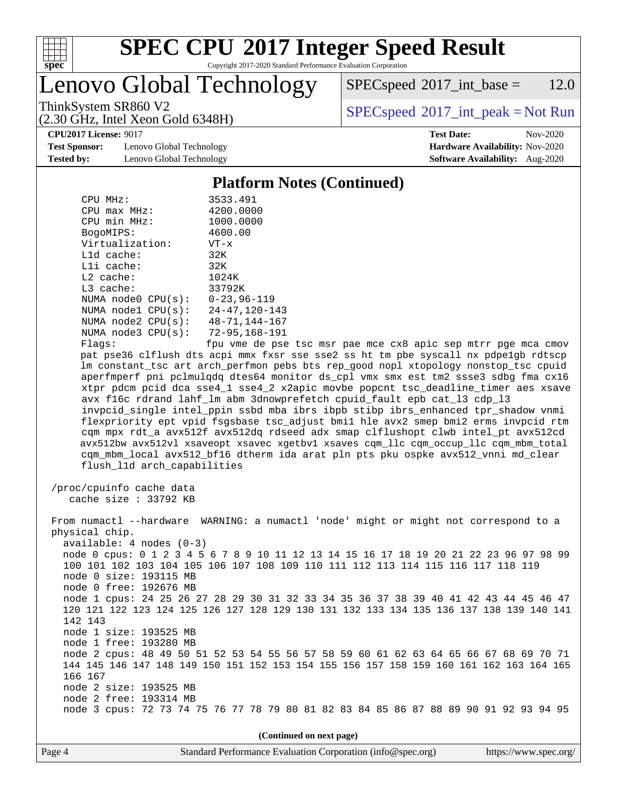

Copyright 2017-2020 Standard Performance Evaluation Corporation

Lenovo Global Technology

 $SPEC speed^{\circ}2017\_int\_base = 12.0$ 

(2.30 GHz, Intel Xeon Gold 6348H)

ThinkSystem SR860 V2<br>  $\begin{array}{c}\n\text{SPEC speed} \text{?}2017\_int\_peak = Not Run \\
\text{SPEC speed} \text{?}2017\_int\_peak = Not Run\n\end{array}$ 

**[CPU2017 License:](http://www.spec.org/auto/cpu2017/Docs/result-fields.html#CPU2017License)** 9017 **[Test Date:](http://www.spec.org/auto/cpu2017/Docs/result-fields.html#TestDate)** Nov-2020

**[Test Sponsor:](http://www.spec.org/auto/cpu2017/Docs/result-fields.html#TestSponsor)** Lenovo Global Technology **[Hardware Availability:](http://www.spec.org/auto/cpu2017/Docs/result-fields.html#HardwareAvailability)** Nov-2020 **[Tested by:](http://www.spec.org/auto/cpu2017/Docs/result-fields.html#Testedby)** Lenovo Global Technology **[Software Availability:](http://www.spec.org/auto/cpu2017/Docs/result-fields.html#SoftwareAvailability)** Aug-2020

#### **[Platform Notes \(Continued\)](http://www.spec.org/auto/cpu2017/Docs/result-fields.html#PlatformNotes)**

| CPU MHz:                    | 3533.491             |
|-----------------------------|----------------------|
| $CPU$ max $MHz$ :           | 4200.0000            |
| CPU min MHz:                | 1000.0000            |
| BogoMIPS:                   | 4600.00              |
| Virtualization:             | $VT - x$             |
| L1d cache:                  | 32K                  |
| Lli cache:                  | 32K                  |
| $L2$ cache:                 | 1024K                |
| $L3$ cache:                 | 33792K               |
| NUMA node0 CPU(s):          | $0 - 23.96 - 119$    |
| NUMA node1 CPU(s):          | $24 - 47, 120 - 143$ |
| NUMA node2 CPU(s):          | 48-71.144-167        |
| NUMA node3 CPU(s):          | 72-95,168-191        |
| $\Gamma$ ] arc $^{\bullet}$ | fnu wa de nee        |

Flags: fpu vme de pse tsc msr pae mce cx8 apic sep mtrr pge mca cmov pat pse36 clflush dts acpi mmx fxsr sse sse2 ss ht tm pbe syscall nx pdpe1gb rdtscp lm constant\_tsc art arch\_perfmon pebs bts rep\_good nopl xtopology nonstop\_tsc cpuid aperfmperf pni pclmulqdq dtes64 monitor ds\_cpl vmx smx est tm2 ssse3 sdbg fma cx16 xtpr pdcm pcid dca sse4\_1 sse4\_2 x2apic movbe popcnt tsc\_deadline\_timer aes xsave avx f16c rdrand lahf\_lm abm 3dnowprefetch cpuid\_fault epb cat\_l3 cdp\_l3 invpcid\_single intel\_ppin ssbd mba ibrs ibpb stibp ibrs\_enhanced tpr\_shadow vnmi flexpriority ept vpid fsgsbase tsc\_adjust bmi1 hle avx2 smep bmi2 erms invpcid rtm cqm mpx rdt\_a avx512f avx512dq rdseed adx smap clflushopt clwb intel\_pt avx512cd avx512bw avx512vl xsaveopt xsavec xgetbv1 xsaves cqm\_llc cqm\_occup\_llc cqm\_mbm\_total cqm\_mbm\_local avx512\_bf16 dtherm ida arat pln pts pku ospke avx512\_vnni md\_clear flush\_l1d arch\_capabilities

 /proc/cpuinfo cache data cache size : 33792 KB

 From numactl --hardware WARNING: a numactl 'node' might or might not correspond to a physical chip. available: 4 nodes (0-3) node 0 cpus: 0 1 2 3 4 5 6 7 8 9 10 11 12 13 14 15 16 17 18 19 20 21 22 23 96 97 98 99 100 101 102 103 104 105 106 107 108 109 110 111 112 113 114 115 116 117 118 119 node 0 size: 193115 MB node 0 free: 192676 MB node 1 cpus: 24 25 26 27 28 29 30 31 32 33 34 35 36 37 38 39 40 41 42 43 44 45 46 47 120 121 122 123 124 125 126 127 128 129 130 131 132 133 134 135 136 137 138 139 140 141 142 143 node 1 size: 193525 MB node 1 free: 193280 MB node 2 cpus: 48 49 50 51 52 53 54 55 56 57 58 59 60 61 62 63 64 65 66 67 68 69 70 71 144 145 146 147 148 149 150 151 152 153 154 155 156 157 158 159 160 161 162 163 164 165 166 167 node 2 size: 193525 MB node 2 free: 193314 MB node 3 cpus: 72 73 74 75 76 77 78 79 80 81 82 83 84 85 86 87 88 89 90 91 92 93 94 95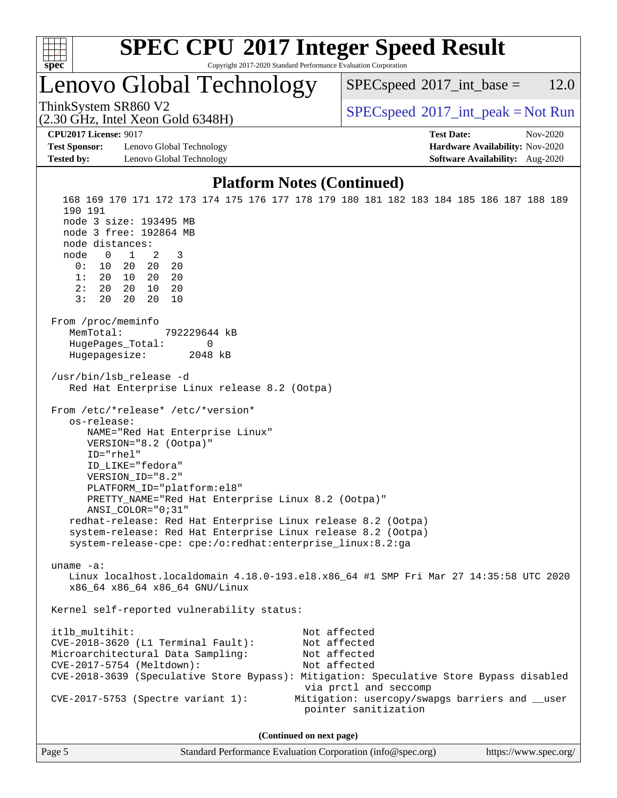

Copyright 2017-2020 Standard Performance Evaluation Corporation

### Lenovo Global Technology

 $SPECspeed^{\circ}2017\_int\_base = 12.0$  $SPECspeed^{\circ}2017\_int\_base = 12.0$ 

(2.30 GHz, Intel Xeon Gold 6348H)

ThinkSystem SR860 V2<br>  $\begin{array}{c}\n\text{SPEC speed} \text{?}2017\_int\_peak = Not Run \\
\text{SPEC speed} \text{?}2017\_int\_peak = Not Run\n\end{array}$ 

**[CPU2017 License:](http://www.spec.org/auto/cpu2017/Docs/result-fields.html#CPU2017License)** 9017 **[Test Date:](http://www.spec.org/auto/cpu2017/Docs/result-fields.html#TestDate)** Nov-2020

**[Test Sponsor:](http://www.spec.org/auto/cpu2017/Docs/result-fields.html#TestSponsor)** Lenovo Global Technology **[Hardware Availability:](http://www.spec.org/auto/cpu2017/Docs/result-fields.html#HardwareAvailability)** Nov-2020 **[Tested by:](http://www.spec.org/auto/cpu2017/Docs/result-fields.html#Testedby)** Lenovo Global Technology **[Software Availability:](http://www.spec.org/auto/cpu2017/Docs/result-fields.html#SoftwareAvailability)** Aug-2020

#### **[Platform Notes \(Continued\)](http://www.spec.org/auto/cpu2017/Docs/result-fields.html#PlatformNotes)**

 168 169 170 171 172 173 174 175 176 177 178 179 180 181 182 183 184 185 186 187 188 189 190 191 node 3 size: 193495 MB node 3 free: 192864 MB node distances: node 0 1 2 3 0: 10 20 20 20 1: 20 10 20 20 2: 20 20 10 20 3: 20 20 20 10 From /proc/meminfo MemTotal: 792229644 kB HugePages\_Total: 0 Hugepagesize: 2048 kB /usr/bin/lsb\_release -d Red Hat Enterprise Linux release 8.2 (Ootpa) From /etc/\*release\* /etc/\*version\* os-release: NAME="Red Hat Enterprise Linux" VERSION="8.2 (Ootpa)" ID="rhel" ID\_LIKE="fedora" VERSION\_ID="8.2" PLATFORM\_ID="platform:el8" PRETTY\_NAME="Red Hat Enterprise Linux 8.2 (Ootpa)" ANSI\_COLOR="0;31" redhat-release: Red Hat Enterprise Linux release 8.2 (Ootpa) system-release: Red Hat Enterprise Linux release 8.2 (Ootpa) system-release-cpe: cpe:/o:redhat:enterprise\_linux:8.2:ga uname -a: Linux localhost.localdomain 4.18.0-193.el8.x86\_64 #1 SMP Fri Mar 27 14:35:58 UTC 2020 x86\_64 x86\_64 x86\_64 GNU/Linux Kernel self-reported vulnerability status: itlb\_multihit: Not affected CVE-2018-3620 (L1 Terminal Fault): Not affected Microarchitectural Data Sampling: Not affected CVE-2017-5754 (Meltdown): Not affected CVE-2018-3639 (Speculative Store Bypass): Mitigation: Speculative Store Bypass disabled via prctl and seccomp CVE-2017-5753 (Spectre variant 1): Mitigation: usercopy/swapgs barriers and \_\_user pointer sanitization **(Continued on next page)**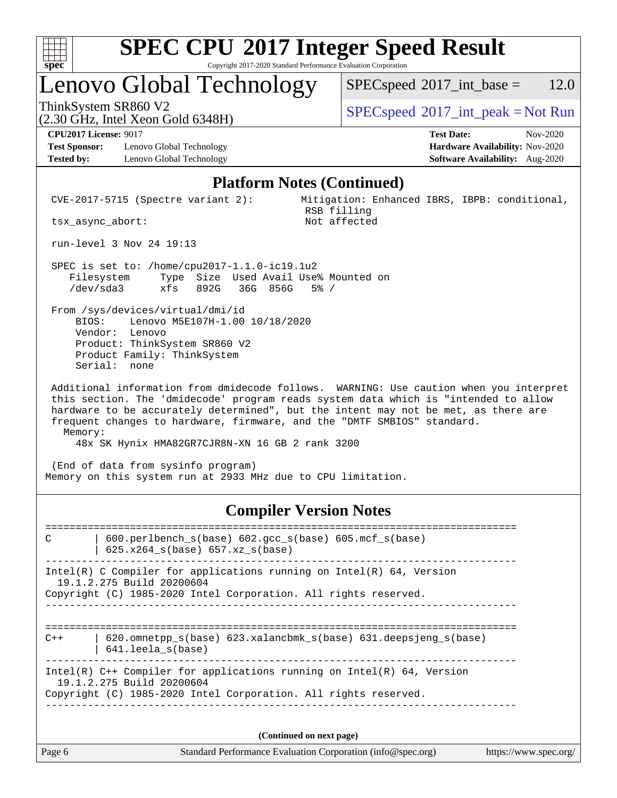

Copyright 2017-2020 Standard Performance Evaluation Corporation

## Lenovo Global Technology

 $SPECspeed^{\circ}2017\_int\_base = 12.0$  $SPECspeed^{\circ}2017\_int\_base = 12.0$ 

(2.30 GHz, Intel Xeon Gold 6348H)

ThinkSystem SR860 V2<br>  $\begin{array}{c}\n\text{SPEC speed} \text{?}2017\_int\_peak = Not Run\n\end{array}$ 

**[Test Sponsor:](http://www.spec.org/auto/cpu2017/Docs/result-fields.html#TestSponsor)** Lenovo Global Technology **[Hardware Availability:](http://www.spec.org/auto/cpu2017/Docs/result-fields.html#HardwareAvailability)** Nov-2020 **[Tested by:](http://www.spec.org/auto/cpu2017/Docs/result-fields.html#Testedby)** Lenovo Global Technology **[Software Availability:](http://www.spec.org/auto/cpu2017/Docs/result-fields.html#SoftwareAvailability)** Aug-2020

**[CPU2017 License:](http://www.spec.org/auto/cpu2017/Docs/result-fields.html#CPU2017License)** 9017 **[Test Date:](http://www.spec.org/auto/cpu2017/Docs/result-fields.html#TestDate)** Nov-2020

#### **[Platform Notes \(Continued\)](http://www.spec.org/auto/cpu2017/Docs/result-fields.html#PlatformNotes)**

 CVE-2017-5715 (Spectre variant 2): Mitigation: Enhanced IBRS, IBPB: conditional, RSB filling<br>Not affected

tsx\_async\_abort:

run-level 3 Nov 24 19:13

 SPEC is set to: /home/cpu2017-1.1.0-ic19.1u2 Filesystem Type Size Used Avail Use% Mounted on /dev/sda3 xfs 892G 36G 856G 5% /

 From /sys/devices/virtual/dmi/id BIOS: Lenovo M5E107H-1.00 10/18/2020 Vendor: Lenovo Product: ThinkSystem SR860 V2 Product Family: ThinkSystem Serial: none

 Additional information from dmidecode follows. WARNING: Use caution when you interpret this section. The 'dmidecode' program reads system data which is "intended to allow hardware to be accurately determined", but the intent may not be met, as there are frequent changes to hardware, firmware, and the "DMTF SMBIOS" standard. Memory:

48x SK Hynix HMA82GR7CJR8N-XN 16 GB 2 rank 3200

 (End of data from sysinfo program) Memory on this system run at 2933 MHz due to CPU limitation.

#### **[Compiler Version Notes](http://www.spec.org/auto/cpu2017/Docs/result-fields.html#CompilerVersionNotes)**

============================================================================== C | 600.perlbench\_s(base) 602.gcc\_s(base) 605.mcf\_s(base) | 625.x264\_s(base) 657.xz\_s(base) ------------------------------------------------------------------------------ Intel(R) C Compiler for applications running on Intel(R) 64, Version 19.1.2.275 Build 20200604 Copyright (C) 1985-2020 Intel Corporation. All rights reserved. ------------------------------------------------------------------------------ ==============================================================================  $C++$  | 620.omnetpp s(base) 623.xalancbmk s(base) 631.deepsjeng s(base) | 641.leela\_s(base) ------------------------------------------------------------------------------ Intel(R) C++ Compiler for applications running on Intel(R) 64, Version 19.1.2.275 Build 20200604 Copyright (C) 1985-2020 Intel Corporation. All rights reserved. ------------------------------------------------------------------------------

| g) | https://www.spec.org/ |  |
|----|-----------------------|--|
|----|-----------------------|--|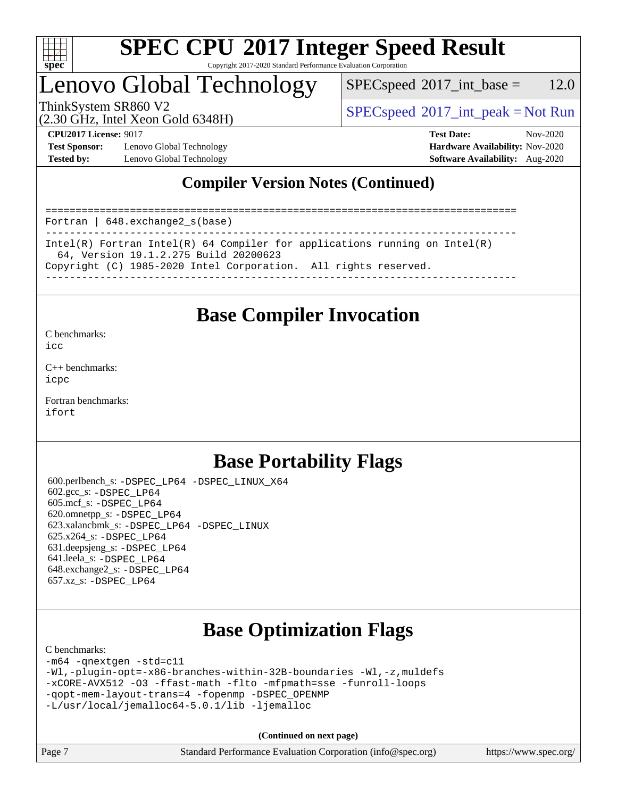

#### **[SPEC CPU](http://www.spec.org/auto/cpu2017/Docs/result-fields.html#SPECCPU2017IntegerSpeedResult)[2017 Integer Speed Result](http://www.spec.org/auto/cpu2017/Docs/result-fields.html#SPECCPU2017IntegerSpeedResult)** Copyright 2017-2020 Standard Performance Evaluation Corporation

## Lenovo Global Technology

 $SPEC speed^{\circ}2017\_int\_base = 12.0$ 

(2.30 GHz, Intel Xeon Gold 6348H)

ThinkSystem SR860 V2  $SPEC speed^{\circ}2017\_int\_peak = Not Run$ 

**[Test Sponsor:](http://www.spec.org/auto/cpu2017/Docs/result-fields.html#TestSponsor)** Lenovo Global Technology **[Hardware Availability:](http://www.spec.org/auto/cpu2017/Docs/result-fields.html#HardwareAvailability)** Nov-2020 **[Tested by:](http://www.spec.org/auto/cpu2017/Docs/result-fields.html#Testedby)** Lenovo Global Technology **[Software Availability:](http://www.spec.org/auto/cpu2017/Docs/result-fields.html#SoftwareAvailability)** Aug-2020

**[CPU2017 License:](http://www.spec.org/auto/cpu2017/Docs/result-fields.html#CPU2017License)** 9017 **[Test Date:](http://www.spec.org/auto/cpu2017/Docs/result-fields.html#TestDate)** Nov-2020

### **[Compiler Version Notes \(Continued\)](http://www.spec.org/auto/cpu2017/Docs/result-fields.html#CompilerVersionNotes)**

============================================================================== Fortran | 648.exchange2\_s(base) ------------------------------------------------------------------------------ Intel(R) Fortran Intel(R) 64 Compiler for applications running on Intel(R) 64, Version 19.1.2.275 Build 20200623 Copyright (C) 1985-2020 Intel Corporation. All rights reserved. ------------------------------------------------------------------------------

### **[Base Compiler Invocation](http://www.spec.org/auto/cpu2017/Docs/result-fields.html#BaseCompilerInvocation)**

[C benchmarks](http://www.spec.org/auto/cpu2017/Docs/result-fields.html#Cbenchmarks):  $i$ cc

[C++ benchmarks:](http://www.spec.org/auto/cpu2017/Docs/result-fields.html#CXXbenchmarks) [icpc](http://www.spec.org/cpu2017/results/res2020q4/cpu2017-20201207-24556.flags.html#user_CXXbase_intel_icpc_c510b6838c7f56d33e37e94d029a35b4a7bccf4766a728ee175e80a419847e808290a9b78be685c44ab727ea267ec2f070ec5dc83b407c0218cded6866a35d07)

[Fortran benchmarks](http://www.spec.org/auto/cpu2017/Docs/result-fields.html#Fortranbenchmarks): [ifort](http://www.spec.org/cpu2017/results/res2020q4/cpu2017-20201207-24556.flags.html#user_FCbase_intel_ifort_8111460550e3ca792625aed983ce982f94888b8b503583aa7ba2b8303487b4d8a21a13e7191a45c5fd58ff318f48f9492884d4413fa793fd88dd292cad7027ca)

### **[Base Portability Flags](http://www.spec.org/auto/cpu2017/Docs/result-fields.html#BasePortabilityFlags)**

 600.perlbench\_s: [-DSPEC\\_LP64](http://www.spec.org/cpu2017/results/res2020q4/cpu2017-20201207-24556.flags.html#b600.perlbench_s_basePORTABILITY_DSPEC_LP64) [-DSPEC\\_LINUX\\_X64](http://www.spec.org/cpu2017/results/res2020q4/cpu2017-20201207-24556.flags.html#b600.perlbench_s_baseCPORTABILITY_DSPEC_LINUX_X64) 602.gcc\_s: [-DSPEC\\_LP64](http://www.spec.org/cpu2017/results/res2020q4/cpu2017-20201207-24556.flags.html#suite_basePORTABILITY602_gcc_s_DSPEC_LP64) 605.mcf\_s: [-DSPEC\\_LP64](http://www.spec.org/cpu2017/results/res2020q4/cpu2017-20201207-24556.flags.html#suite_basePORTABILITY605_mcf_s_DSPEC_LP64) 620.omnetpp\_s: [-DSPEC\\_LP64](http://www.spec.org/cpu2017/results/res2020q4/cpu2017-20201207-24556.flags.html#suite_basePORTABILITY620_omnetpp_s_DSPEC_LP64) 623.xalancbmk\_s: [-DSPEC\\_LP64](http://www.spec.org/cpu2017/results/res2020q4/cpu2017-20201207-24556.flags.html#suite_basePORTABILITY623_xalancbmk_s_DSPEC_LP64) [-DSPEC\\_LINUX](http://www.spec.org/cpu2017/results/res2020q4/cpu2017-20201207-24556.flags.html#b623.xalancbmk_s_baseCXXPORTABILITY_DSPEC_LINUX) 625.x264\_s: [-DSPEC\\_LP64](http://www.spec.org/cpu2017/results/res2020q4/cpu2017-20201207-24556.flags.html#suite_basePORTABILITY625_x264_s_DSPEC_LP64) 631.deepsjeng\_s: [-DSPEC\\_LP64](http://www.spec.org/cpu2017/results/res2020q4/cpu2017-20201207-24556.flags.html#suite_basePORTABILITY631_deepsjeng_s_DSPEC_LP64) 641.leela\_s: [-DSPEC\\_LP64](http://www.spec.org/cpu2017/results/res2020q4/cpu2017-20201207-24556.flags.html#suite_basePORTABILITY641_leela_s_DSPEC_LP64) 648.exchange2\_s: [-DSPEC\\_LP64](http://www.spec.org/cpu2017/results/res2020q4/cpu2017-20201207-24556.flags.html#suite_basePORTABILITY648_exchange2_s_DSPEC_LP64) 657.xz\_s: [-DSPEC\\_LP64](http://www.spec.org/cpu2017/results/res2020q4/cpu2017-20201207-24556.flags.html#suite_basePORTABILITY657_xz_s_DSPEC_LP64)

### **[Base Optimization Flags](http://www.spec.org/auto/cpu2017/Docs/result-fields.html#BaseOptimizationFlags)**

#### [C benchmarks](http://www.spec.org/auto/cpu2017/Docs/result-fields.html#Cbenchmarks):

[-m64](http://www.spec.org/cpu2017/results/res2020q4/cpu2017-20201207-24556.flags.html#user_CCbase_m64-icc) [-qnextgen](http://www.spec.org/cpu2017/results/res2020q4/cpu2017-20201207-24556.flags.html#user_CCbase_f-qnextgen) [-std=c11](http://www.spec.org/cpu2017/results/res2020q4/cpu2017-20201207-24556.flags.html#user_CCbase_std-icc-std_0e1c27790398a4642dfca32ffe6c27b5796f9c2d2676156f2e42c9c44eaad0c049b1cdb667a270c34d979996257aeb8fc440bfb01818dbc9357bd9d174cb8524) [-Wl,-plugin-opt=-x86-branches-within-32B-boundaries](http://www.spec.org/cpu2017/results/res2020q4/cpu2017-20201207-24556.flags.html#user_CCbase_f-x86-branches-within-32B-boundaries_0098b4e4317ae60947b7b728078a624952a08ac37a3c797dfb4ffeb399e0c61a9dd0f2f44ce917e9361fb9076ccb15e7824594512dd315205382d84209e912f3) [-Wl,-z,muldefs](http://www.spec.org/cpu2017/results/res2020q4/cpu2017-20201207-24556.flags.html#user_CCbase_link_force_multiple1_b4cbdb97b34bdee9ceefcfe54f4c8ea74255f0b02a4b23e853cdb0e18eb4525ac79b5a88067c842dd0ee6996c24547a27a4b99331201badda8798ef8a743f577) [-xCORE-AVX512](http://www.spec.org/cpu2017/results/res2020q4/cpu2017-20201207-24556.flags.html#user_CCbase_f-xCORE-AVX512) [-O3](http://www.spec.org/cpu2017/results/res2020q4/cpu2017-20201207-24556.flags.html#user_CCbase_f-O3) [-ffast-math](http://www.spec.org/cpu2017/results/res2020q4/cpu2017-20201207-24556.flags.html#user_CCbase_f-ffast-math) [-flto](http://www.spec.org/cpu2017/results/res2020q4/cpu2017-20201207-24556.flags.html#user_CCbase_f-flto) [-mfpmath=sse](http://www.spec.org/cpu2017/results/res2020q4/cpu2017-20201207-24556.flags.html#user_CCbase_f-mfpmath_70eb8fac26bde974f8ab713bc9086c5621c0b8d2f6c86f38af0bd7062540daf19db5f3a066d8c6684be05d84c9b6322eb3b5be6619d967835195b93d6c02afa1) [-funroll-loops](http://www.spec.org/cpu2017/results/res2020q4/cpu2017-20201207-24556.flags.html#user_CCbase_f-funroll-loops) [-qopt-mem-layout-trans=4](http://www.spec.org/cpu2017/results/res2020q4/cpu2017-20201207-24556.flags.html#user_CCbase_f-qopt-mem-layout-trans_fa39e755916c150a61361b7846f310bcdf6f04e385ef281cadf3647acec3f0ae266d1a1d22d972a7087a248fd4e6ca390a3634700869573d231a252c784941a8) [-fopenmp](http://www.spec.org/cpu2017/results/res2020q4/cpu2017-20201207-24556.flags.html#user_CCbase_fopenmp_5aa2e47ce4f2ef030ba5d12d5a7a9c4e57167333d78243fcadb80b48d5abb78ff19333f8478e0b2a41e63049eb285965c145ccab7b93db7d0c4d59e4dc6f5591) [-DSPEC\\_OPENMP](http://www.spec.org/cpu2017/results/res2020q4/cpu2017-20201207-24556.flags.html#suite_CCbase_DSPEC_OPENMP) [-L/usr/local/jemalloc64-5.0.1/lib](http://www.spec.org/cpu2017/results/res2020q4/cpu2017-20201207-24556.flags.html#user_CCbase_jemalloc_link_path64_1_cc289568b1a6c0fd3b62c91b824c27fcb5af5e8098e6ad028160d21144ef1b8aef3170d2acf0bee98a8da324cfe4f67d0a3d0c4cc4673d993d694dc2a0df248b) [-ljemalloc](http://www.spec.org/cpu2017/results/res2020q4/cpu2017-20201207-24556.flags.html#user_CCbase_jemalloc_link_lib_d1249b907c500fa1c0672f44f562e3d0f79738ae9e3c4a9c376d49f265a04b9c99b167ecedbf6711b3085be911c67ff61f150a17b3472be731631ba4d0471706)

| Page 7 | Standard Performance Evaluation Corporation (info@spec.org) |  | https://www.spec.org/ |
|--------|-------------------------------------------------------------|--|-----------------------|
|--------|-------------------------------------------------------------|--|-----------------------|